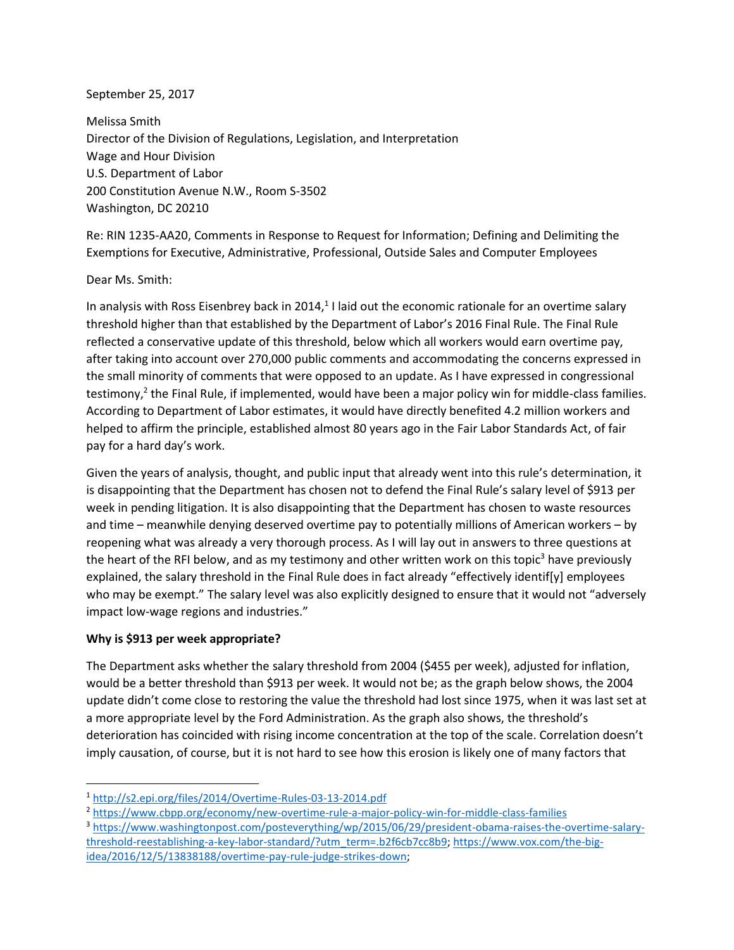#### September 25, 2017

Melissa Smith Director of the Division of Regulations, Legislation, and Interpretation Wage and Hour Division U.S. Department of Labor 200 Constitution Avenue N.W., Room S-3502 Washington, DC 20210

Re: RIN 1235-AA20, Comments in Response to Request for Information; Defining and Delimiting the Exemptions for Executive, Administrative, Professional, Outside Sales and Computer Employees

### Dear Ms. Smith:

In analysis with Ross Eisenbrey back in 2014,<sup>1</sup> I laid out the economic rationale for an overtime salary threshold higher than that established by the Department of Labor's 2016 Final Rule. The Final Rule reflected a conservative update of this threshold, below which all workers would earn overtime pay, after taking into account over 270,000 public comments and accommodating the concerns expressed in the small minority of comments that were opposed to an update. As I have expressed in congressional testimony,<sup>2</sup> the Final Rule, if implemented, would have been a major policy win for middle-class families. According to Department of Labor estimates, it would have directly benefited 4.2 million workers and helped to affirm the principle, established almost 80 years ago in the Fair Labor Standards Act, of fair pay for a hard day's work.

Given the years of analysis, thought, and public input that already went into this rule's determination, it is disappointing that the Department has chosen not to defend the Final Rule's salary level of \$913 per week in pending litigation. It is also disappointing that the Department has chosen to waste resources and time – meanwhile denying deserved overtime pay to potentially millions of American workers – by reopening what was already a very thorough process. As I will lay out in answers to three questions at the heart of the RFI below, and as my testimony and other written work on this topic<sup>3</sup> have previously explained, the salary threshold in the Final Rule does in fact already "effectively identif[y] employees who may be exempt." The salary level was also explicitly designed to ensure that it would not "adversely impact low-wage regions and industries."

#### **Why is \$913 per week appropriate?**

l

The Department asks whether the salary threshold from 2004 (\$455 per week), adjusted for inflation, would be a better threshold than \$913 per week. It would not be; as the graph below shows, the 2004 update didn't come close to restoring the value the threshold had lost since 1975, when it was last set at a more appropriate level by the Ford Administration. As the graph also shows, the threshold's deterioration has coincided with rising income concentration at the top of the scale. Correlation doesn't imply causation, of course, but it is not hard to see how this erosion is likely one of many factors that

<sup>3</sup> [https://www.washingtonpost.com/posteverything/wp/2015/06/29/president-obama-raises-the-overtime-salary](https://www.washingtonpost.com/posteverything/wp/2015/06/29/president-obama-raises-the-overtime-salary-threshold-reestablishing-a-key-labor-standard/?utm_term=.b2f6cb7cc8b9)[threshold-reestablishing-a-key-labor-standard/?utm\\_term=.b2f6cb7cc8b9;](https://www.washingtonpost.com/posteverything/wp/2015/06/29/president-obama-raises-the-overtime-salary-threshold-reestablishing-a-key-labor-standard/?utm_term=.b2f6cb7cc8b9) [https://www.vox.com/the-big](https://www.vox.com/the-big-idea/2016/12/5/13838188/overtime-pay-rule-judge-strikes-down)[idea/2016/12/5/13838188/overtime-pay-rule-judge-strikes-down;](https://www.vox.com/the-big-idea/2016/12/5/13838188/overtime-pay-rule-judge-strikes-down)

<sup>1</sup> <http://s2.epi.org/files/2014/Overtime-Rules-03-13-2014.pdf>

<sup>2</sup> <https://www.cbpp.org/economy/new-overtime-rule-a-major-policy-win-for-middle-class-families>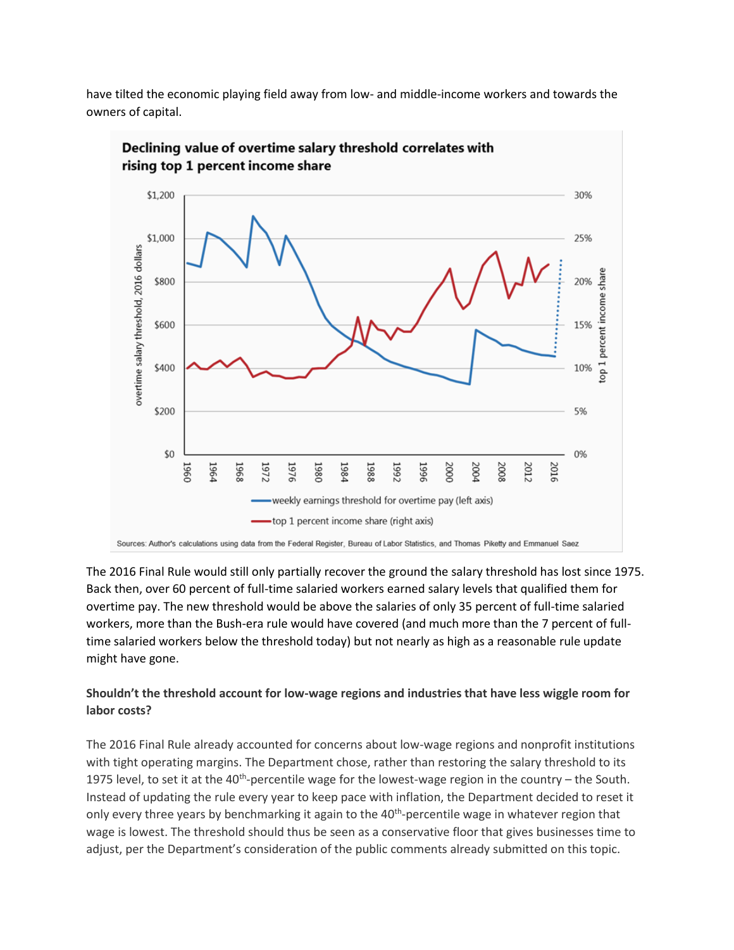have tilted the economic playing field away from low- and middle-income workers and towards the owners of capital.





Sources: Author's calculations using data from the Federal Register, Bureau of Labor Statistics, and Thomas Piketty and Emmanuel Saez

The 2016 Final Rule would still only partially recover the ground the salary threshold has lost since 1975. Back then, over 60 percent of full-time salaried workers earned salary levels that qualified them for overtime pay. The new threshold would be above the salaries of only 35 percent of full-time salaried workers, more than the Bush-era rule would have covered (and much more than the 7 percent of fulltime salaried workers below the threshold today) but not nearly as high as a reasonable rule update might have gone.

## **Shouldn't the threshold account for low-wage regions and industries that have less wiggle room for labor costs?**

The 2016 Final Rule already accounted for concerns about low-wage regions and nonprofit institutions with tight operating margins. The Department chose, rather than restoring the salary threshold to its 1975 level, to set it at the 40<sup>th</sup>-percentile wage for the lowest-wage region in the country  $-$  the South. Instead of updating the rule every year to keep pace with inflation, the Department decided to reset it only every three years by benchmarking it again to the 40<sup>th</sup>-percentile wage in whatever region that wage is lowest. The threshold should thus be seen as a conservative floor that gives businesses time to adjust, per the Department's consideration of the public comments already submitted on this topic.